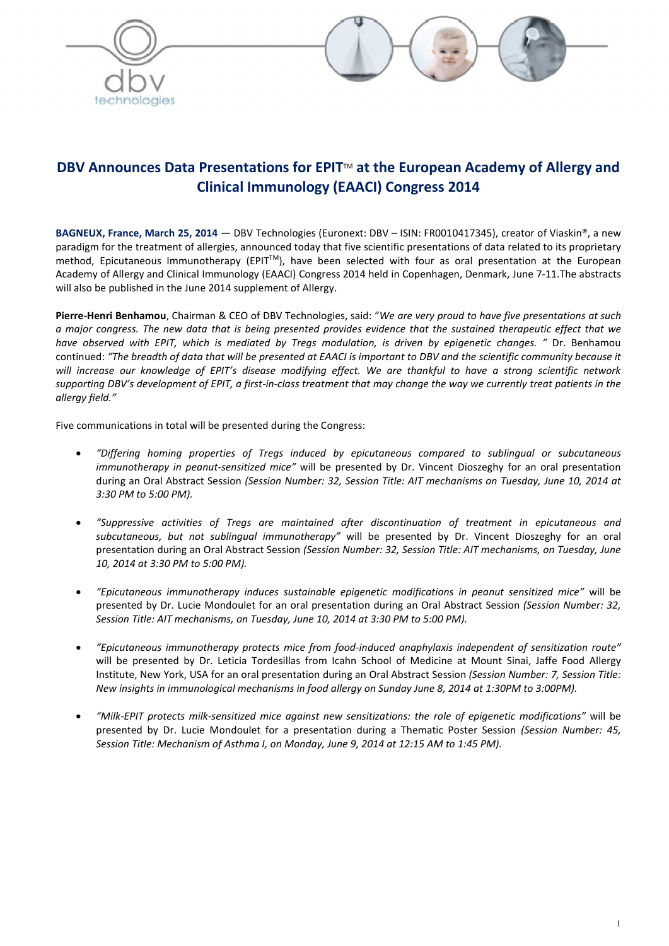



# DBV Announces Data Presentations for EPIT<sup>™</sup> at the European Academy of Allergy and Clinical Immunology (EAACI) Congress 2014

BAGNEUX, France, March 25, 2014 — DBV Technologies (Euronext: DBV – ISIN: FR0010417345), creator of Viaskin®, a new paradigm for the treatment of allergies, announced today that five scientific presentations of data related to its proprietary method, Epicutaneous Immunotherapy (EPIT<sup>TM</sup>), have been selected with four as oral presentation at the European Academy of Allergy and Clinical Immunology (EAACI) Congress 2014 held in Copenhagen, Denmark, June 7-11.The abstracts will also be published in the June 2014 supplement of Allergy.

Pierre-Henri Benhamou, Chairman & CEO of DBV Technologies, said: "*We are very proud to have five presentations at such a major congress. The new data that is being presented provides evidence that the sustained therapeutic effect that we have observed with EPIT, which is mediated by Tregs modulation, is driven by epigenetic changes. "* Dr. Benhamou continued: *"The breadth of data that will be presented at EAACI is important to DBV and the scientific community because it will increase our knowledge of EPIT's disease modifying effect. We are thankful to have a strong scientific network supporting DBV's development of EPIT, a first-in-class treatment that may change the way we currently treat patients in the allergy field."* 

Five communications in total will be presented during the Congress:

- *"Differing homing properties of Tregs induced by epicutaneous compared to sublingual or subcutaneous immunotherapy in peanut-sensitized mice"* will be presented by Dr. Vincent Dioszeghy for an oral presentation during an Oral Abstract Session *(Session Number: 32, Session Title: AIT mechanisms on Tuesday, June 10, 2014 at 3:30 PM to 5:00 PM).*
- *"Suppressive activities of Tregs are maintained after discontinuation of treatment in epicutaneous and subcutaneous, but not sublingual immunotherapy"* will be presented by Dr. Vincent Dioszeghy for an oral presentation during an Oral Abstract Session *(Session Number: 32, Session Title: AIT mechanisms, on Tuesday, June 10, 2014 at 3:30 PM to 5:00 PM).*
- *"Epicutaneous immunotherapy induces sustainable epigenetic modifications in peanut sensitized mice"* will be presented by Dr. Lucie Mondoulet for an oral presentation during an Oral Abstract Session *(Session Number: 32, Session Title: AIT mechanisms, on Tuesday, June 10, 2014 at 3:30 PM to 5:00 PM).*
- *"Epicutaneous immunotherapy protects mice from food-induced anaphylaxis independent of sensitization route"* will be presented by Dr. Leticia Tordesillas from Icahn School of Medicine at Mount Sinai, Jaffe Food Allergy Institute, New York, USA for an oral presentation during an Oral Abstract Session *(Session Number: 7, Session Title: New insights in immunological mechanisms in food allergy on Sunday June 8, 2014 at 1:30PM to 3:00PM).*
- *"Milk-EPIT protects milk-sensitized mice against new sensitizations: the role of epigenetic modifications"* will be presented by Dr. Lucie Mondoulet for a presentation during a Thematic Poster Session *(Session Number: 45, Session Title: Mechanism of Asthma I, on Monday, June 9, 2014 at 12:15 AM to 1:45 PM).*